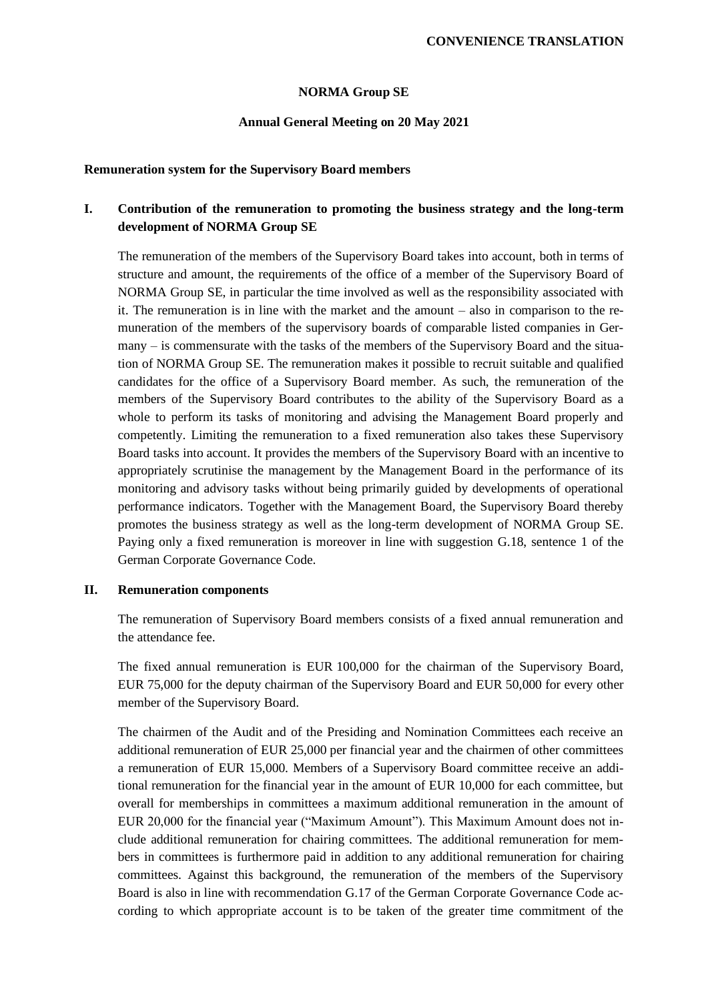## **NORMA Group SE**

### **Annual General Meeting on 20 May 2021**

#### **Remuneration system for the Supervisory Board members**

# **I. Contribution of the remuneration to promoting the business strategy and the long-term development of NORMA Group SE**

The remuneration of the members of the Supervisory Board takes into account, both in terms of structure and amount, the requirements of the office of a member of the Supervisory Board of NORMA Group SE, in particular the time involved as well as the responsibility associated with it. The remuneration is in line with the market and the amount – also in comparison to the remuneration of the members of the supervisory boards of comparable listed companies in Germany – is commensurate with the tasks of the members of the Supervisory Board and the situation of NORMA Group SE. The remuneration makes it possible to recruit suitable and qualified candidates for the office of a Supervisory Board member. As such, the remuneration of the members of the Supervisory Board contributes to the ability of the Supervisory Board as a whole to perform its tasks of monitoring and advising the Management Board properly and competently. Limiting the remuneration to a fixed remuneration also takes these Supervisory Board tasks into account. It provides the members of the Supervisory Board with an incentive to appropriately scrutinise the management by the Management Board in the performance of its monitoring and advisory tasks without being primarily guided by developments of operational performance indicators. Together with the Management Board, the Supervisory Board thereby promotes the business strategy as well as the long-term development of NORMA Group SE. Paying only a fixed remuneration is moreover in line with suggestion G.18, sentence 1 of the German Corporate Governance Code.

## **II. Remuneration components**

The remuneration of Supervisory Board members consists of a fixed annual remuneration and the attendance fee.

The fixed annual remuneration is EUR 100,000 for the chairman of the Supervisory Board, EUR 75,000 for the deputy chairman of the Supervisory Board and EUR 50,000 for every other member of the Supervisory Board.

The chairmen of the Audit and of the Presiding and Nomination Committees each receive an additional remuneration of EUR 25,000 per financial year and the chairmen of other committees a remuneration of EUR 15,000. Members of a Supervisory Board committee receive an additional remuneration for the financial year in the amount of EUR 10,000 for each committee, but overall for memberships in committees a maximum additional remuneration in the amount of EUR 20,000 for the financial year ("Maximum Amount"). This Maximum Amount does not include additional remuneration for chairing committees. The additional remuneration for members in committees is furthermore paid in addition to any additional remuneration for chairing committees. Against this background, the remuneration of the members of the Supervisory Board is also in line with recommendation G.17 of the German Corporate Governance Code according to which appropriate account is to be taken of the greater time commitment of the